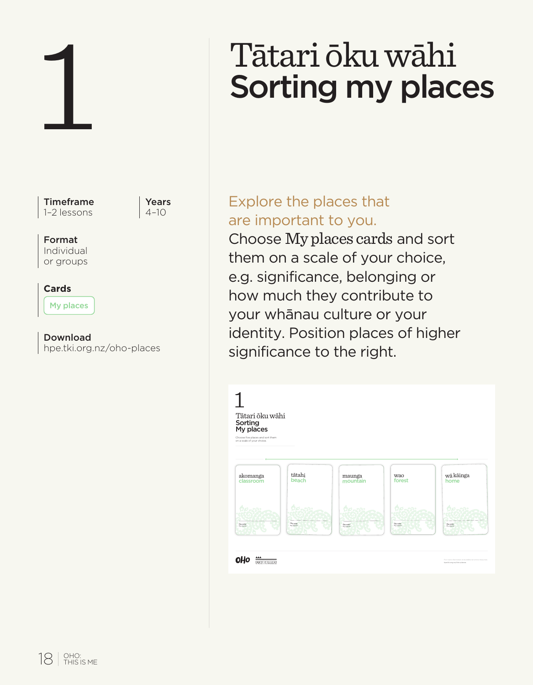| Timeframe<br><b>Yea</b><br>4-1<br>1-2 lessons |
|-----------------------------------------------|
| Format<br>Individual<br>or groups             |
| Cards<br>My places                            |
| Download<br>hpe.tki.org.nz/oho-places         |
|                                               |
|                                               |

Years  $4 - 10$ 

# Tātari ōku wāhi Sorting my places

## Explore the places that are important to you.

Choose My places cards and sort them on a scale of your choice, e.g. significance, belonging or how much they contribute to your whānau culture or your identity. Position places of higher significance to the right.

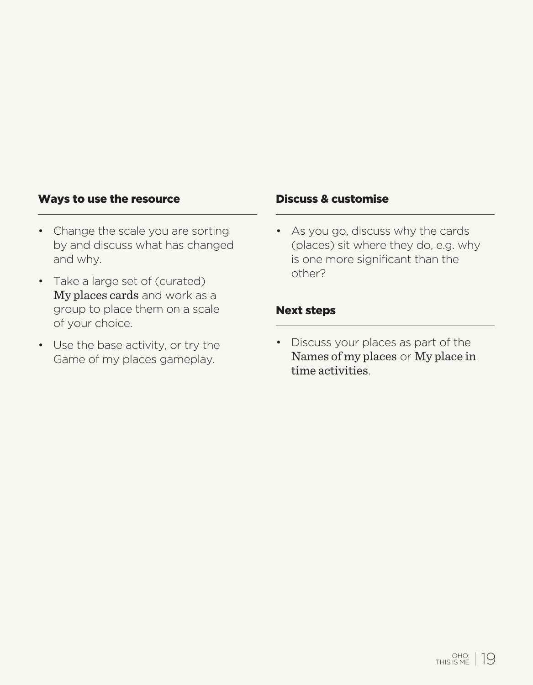#### Ways to use the resource The Discuss & customise

- Change the scale you are sorting by and discuss what has changed and why.
- Take a large set of (curated) My places cards and work as a group to place them on a scale of your choice.
- Use the base activity, or try the Game of my places gameplay.

• As you go, discuss why the cards (places) sit where they do, e.g. why is one more significant than the other?

#### Next steps

• Discuss your places as part of the Names of my places or My place in time activities.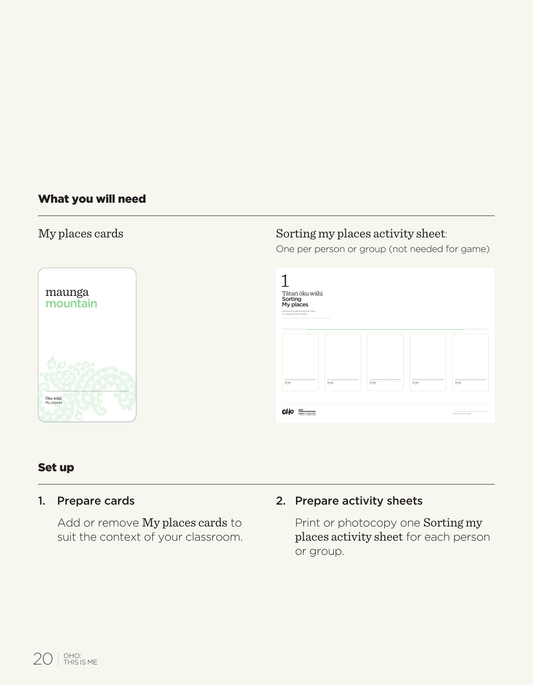#### What you will need

#### My places cards



### Sorting my places activity sheet:

One per person or group (not needed for game)



#### Set up

#### 1. Prepare cards

Add or remove My places cards to suit the context of your classroom.

#### 2. Prepare activity sheets

Print or photocopy one Sorting my places activity sheet for each person or group.